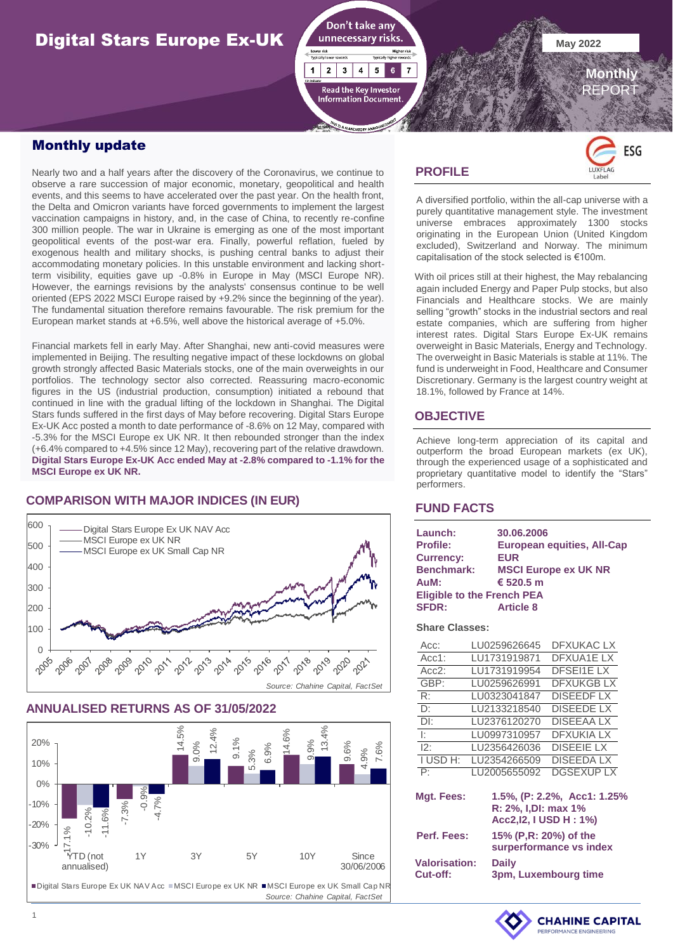# **Digital Stars Europe Ex-UK May 2022**



## Monthly update

Nearly two and a half years after the discovery of the Coronavirus, we continue to observe a rare succession of major economic, monetary, geopolitical and health events, and this seems to have accelerated over the past year. On the health front, the Delta and Omicron variants have forced governments to implement the largest vaccination campaigns in history, and, in the case of China, to recently re-confine 300 million people. The war in Ukraine is emerging as one of the most important geopolitical events of the post-war era. Finally, powerful reflation, fueled by exogenous health and military shocks, is pushing central banks to adjust their accommodating monetary policies. In this unstable environment and lacking shortterm visibility, equities gave up -0.8% in Europe in May (MSCI Europe NR). However, the earnings revisions by the analysts' consensus continue to be well oriented (EPS 2022 MSCI Europe raised by +9.2% since the beginning of the year). The fundamental situation therefore remains favourable. The risk premium for the European market stands at +6.5%, well above the historical average of +5.0%.

Financial markets fell in early May. After Shanghai, new anti-covid measures were implemented in Beijing. The resulting negative impact of these lockdowns on global growth strongly affected Basic Materials stocks, one of the main overweights in our portfolios. The technology sector also corrected. Reassuring macro-economic figures in the US (industrial production, consumption) initiated a rebound that continued in line with the gradual lifting of the lockdown in Shanghai. The Digital Stars funds suffered in the first days of May before recovering. Digital Stars Europe Ex-UK Acc posted a month to date performance of -8.6% on 12 May, compared with -5.3% for the MSCI Europe ex UK NR. It then rebounded stronger than the index (+6.4% compared to +4.5% since 12 May), recovering part of the relative drawdown. **Digital Stars Europe Ex-UK Acc ended May at -2.8% compared to -1.1% for the MSCI Europe ex UK NR.**

## **COMPARISON WITH MAJOR INDICES (IN EUR)**



#### **ANNUALISED RETURNS AS OF 31/05/2022**



## **PROFILE**



 **Monthly** REPORT

A diversified portfolio, within the all-cap universe with a purely quantitative management style. The investment universe embraces approximately 1300 stocks originating in the European Union (United Kingdom excluded), Switzerland and Norway. The minimum capitalisation of the stock selected is €100m.

With oil prices still at their highest, the May rebalancing again included Energy and Paper Pulp stocks, but also Financials and Healthcare stocks. We are mainly selling "growth" stocks in the industrial sectors and real estate companies, which are suffering from higher interest rates. Digital Stars Europe Ex-UK remains overweight in Basic Materials, Energy and Technology. The overweight in Basic Materials is stable at 11%. The fund is underweight in Food, Healthcare and Consumer Discretionary. Germany is the largest country weight at 18.1%, followed by France at 14%.

## **OBJECTIVE**

Achieve long-term appreciation of its capital and outperform the broad European markets (ex UK), through the experienced usage of a sophisticated and proprietary quantitative model to identify the "Stars" performers.

#### **FUND FACTS**

| Launch:<br><b>Profile:</b><br><b>Currency:</b><br><b>Benchmark:</b><br>AuM: | 30.06.2006<br><b>European equities, All-Cap</b><br><b>EUR</b><br><b>MSCI Europe ex UK NR</b><br>€ 520.5 m |  |  |  |  |  |  |
|-----------------------------------------------------------------------------|-----------------------------------------------------------------------------------------------------------|--|--|--|--|--|--|
| <b>Eligible to the French PEA</b>                                           |                                                                                                           |  |  |  |  |  |  |
| <b>SFDR:</b>                                                                | <b>Article 8</b>                                                                                          |  |  |  |  |  |  |
|                                                                             |                                                                                                           |  |  |  |  |  |  |

#### **Share Classes:**

| Acc:                                                                                         |              | LU0259626645                                     |  | DFXUKAC LX        |  |  |  |  |
|----------------------------------------------------------------------------------------------|--------------|--------------------------------------------------|--|-------------------|--|--|--|--|
| Acc1:                                                                                        |              | LU1731919871                                     |  | DFXUA1E LX        |  |  |  |  |
| $Acc2$ :                                                                                     |              | LU1731919954                                     |  | <b>DFSEI1ELX</b>  |  |  |  |  |
| GBP:                                                                                         |              | LU0259626991                                     |  | <b>DEXUKGBLX</b>  |  |  |  |  |
| R:                                                                                           |              | LU0323041847                                     |  | <b>DISEEDFLX</b>  |  |  |  |  |
| D:                                                                                           |              | LU2133218540                                     |  | DISEEDE LX        |  |  |  |  |
| DI:                                                                                          |              | LU2376120270                                     |  | <b>DISEEAA LX</b> |  |  |  |  |
| $\mathbf{E}$                                                                                 |              | LU0997310957                                     |  | <b>DFXUKIA LX</b> |  |  |  |  |
| 12:                                                                                          |              | LU2356426036                                     |  | <b>DISEEIE LX</b> |  |  |  |  |
| I USD H:                                                                                     |              | LU2354266509                                     |  | DISEEDA LX        |  |  |  |  |
| $\mathsf{P}$                                                                                 |              | LU2005655092                                     |  | <b>DGSEXUP LX</b> |  |  |  |  |
| 1.5%, (P: 2.2%, Acc1: 1.25%<br>Mgt. Fees:<br>R: 2%, I, DI: max 1%<br>Acc2, 12, 1 USD H : 1%) |              |                                                  |  |                   |  |  |  |  |
| Perf. Fees:                                                                                  |              | 15% (P.R: 20%) of the<br>surperformance vs index |  |                   |  |  |  |  |
| <b>Valorisation:</b>                                                                         | <b>Daily</b> |                                                  |  |                   |  |  |  |  |
| Cut-off:                                                                                     |              | 3pm, Luxembourg time                             |  |                   |  |  |  |  |

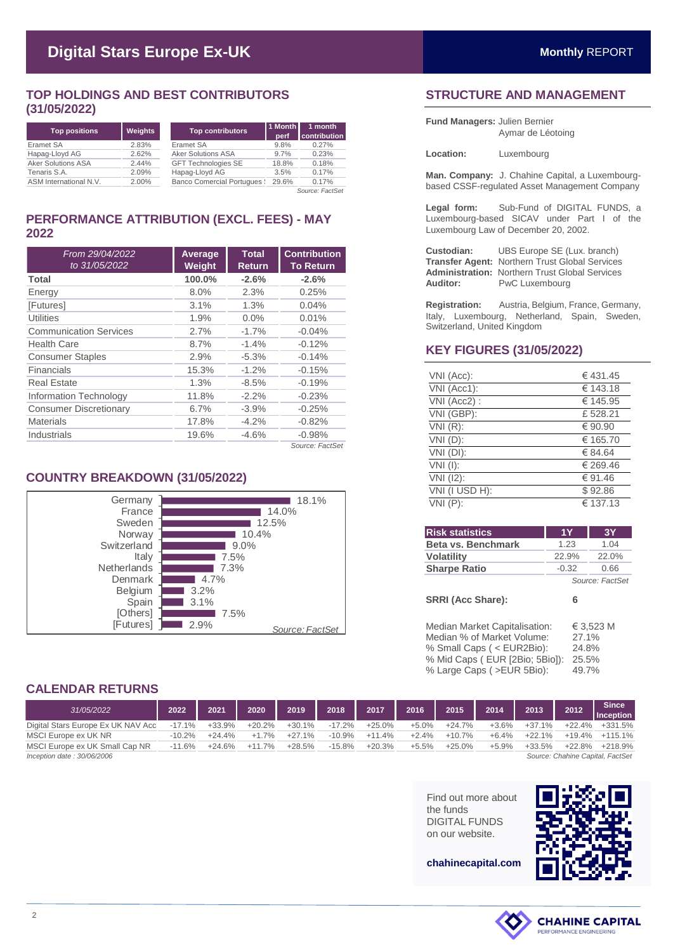## **TOP HOLDINGS AND BEST CONTRIBUTORS (31/05/2022)**

| <b>Top positions</b>      | <b>Weights</b> | <b>Top contributors</b>           | 1 Month<br>perf | 1 month<br>contribution |
|---------------------------|----------------|-----------------------------------|-----------------|-------------------------|
| Eramet SA                 | 2.83%          | Eramet SA                         | 9.8%            | 0.27%                   |
| Hapag-Lloyd AG            | 2.62%          | <b>Aker Solutions ASA</b>         | 9.7%            | 0.23%                   |
| <b>Aker Solutions ASA</b> | 2.44%          | <b>GFT Technologies SE</b>        | 18.8%           | 0.18%                   |
| Tenaris S.A.              | 2.09%          | Hapag-Lloyd AG                    | 3.5%            | 0.17%                   |
| ASM International N.V.    | 2.00%          | <b>Banco Comercial Portugues:</b> | 29.6%           | 0.17%                   |

*Source: FactSet*

## **PERFORMANCE ATTRIBUTION (EXCL. FEES) - MAY 2022**

| From 29/04/2022<br>to 31/05/2022 | Average<br>Weight | <b>Total</b><br><b>Return</b> | <b>Contribution</b><br><b>To Return</b> |
|----------------------------------|-------------------|-------------------------------|-----------------------------------------|
| Total                            | 100.0%            | $-2.6%$                       | $-2.6%$                                 |
| Energy                           | 8.0%              | 2.3%                          | 0.25%                                   |
| [Futures]                        | 3.1%              | 1.3%                          | 0.04%                                   |
| <b>Utilities</b>                 | 1.9%              | 0.0%                          | 0.01%                                   |
| <b>Communication Services</b>    | 2.7%              | $-1.7%$                       | $-0.04%$                                |
| <b>Health Care</b>               | 8.7%              | $-1.4%$                       | $-0.12%$                                |
| <b>Consumer Staples</b>          | 2.9%              | $-5.3%$                       | $-0.14%$                                |
| Financials                       | 15.3%             | $-1.2%$                       | $-0.15%$                                |
| <b>Real Estate</b>               | 1.3%              | $-8.5%$                       | $-0.19%$                                |
| Information Technology           | 11.8%             | $-2.2%$                       | $-0.23%$                                |
| <b>Consumer Discretionary</b>    | 6.7%              | $-3.9%$                       | $-0.25%$                                |
| <b>Materials</b>                 | 17.8%             | $-4.2%$                       | $-0.82%$                                |
| Industrials                      | 19.6%             | $-4.6%$                       | $-0.98%$                                |
|                                  |                   |                               | Source: FactSet                         |

## **COUNTRY BREAKDOWN (31/05/2022)**



## **STRUCTURE AND MANAGEMENT**

**Fund Managers:** Julien Bernier Aymar de Léotoing

**Location:** Luxembourg

**Man. Company:** J. Chahine Capital, a Luxembourgbased CSSF-regulated Asset Management Company

**Legal form:** Sub-Fund of DIGITAL FUNDS, a Luxembourg-based SICAV under Part I of the Luxembourg Law of December 20, 2002.

**Custodian:** UBS Europe SE (Lux. branch) **Transfer Agent:** Northern Trust Global Services Administration: Northern Trust Global Services<br>**Auditor:** PwC Luxembourg **PwC Luxembourg** 

**Registration:** Austria, Belgium, France, Germany, Italy, Luxembourg, Netherland, Spain, Sweden, Switzerland, United Kingdom

### **KEY FIGURES (31/05/2022)**

| VNI (Acc):     | €431.45  |
|----------------|----------|
| VNI (Acc1):    | € 143.18 |
| VNI (Acc2):    | € 145.95 |
| VNI (GBP):     | £528.21  |
| $VNI(R)$ :     | € 90.90  |
| $VNI(D)$ :     | € 165.70 |
| VNI (DI):      | € 84.64  |
| $VNI$ (I):     | € 269.46 |
| VNI (12):      | € 91.46  |
| VNI (I USD H): | \$92.86  |
| $VNI(P)$ :     | € 137.13 |

| <b>Risk statistics</b>                                                                   | <b>1Y</b>      | 3Y              |
|------------------------------------------------------------------------------------------|----------------|-----------------|
| Beta vs. Benchmark                                                                       | 1.23           | 1.04            |
| <b>Volatility</b>                                                                        | 22.9%          | 22.0%           |
| <b>Sharpe Ratio</b>                                                                      | $-0.32$        | 0.66            |
|                                                                                          |                | Source: FactSet |
| <b>SRRI (Acc Share):</b>                                                                 | 6              |                 |
| Median Market Capitalisation:<br>Median % of Market Volume:<br>% Small Caps (< EUR2Bio): | 27.1%<br>24.8% | € 3,523 M       |

% Mid Caps ( EUR [2Bio; 5Bio]): 25.5% % Large Caps ( >EUR 5Bio): 49.7%

**CALENDAR RETURNS**

| 31/05/2022                         | 2022      | 2021     | 2020     | 2019     | 2018     | 2017     | 2016    | 2015     | 2014    | 2013     | 2012     | <b>Since</b><br>Inception        |
|------------------------------------|-----------|----------|----------|----------|----------|----------|---------|----------|---------|----------|----------|----------------------------------|
| Digital Stars Europe Ex UK NAV Acc | $-17.1\%$ | +33.9%   | +20.2%   | $+30.1%$ | $-17.2%$ | $+25.0%$ | $+5.0%$ | $+24.7%$ | $+3.6%$ | $+37.1%$ | $+22.4%$ | +331.5%                          |
| MSCI Europe ex UK NR               | $-10.2%$  | $+24.4%$ | $+1.7%$  | $+27.1%$ | $-10.9%$ | $+11.4%$ | $+2.4%$ | $+10.7%$ | $+6.4%$ | $+22.1%$ | $+19.4%$ | +115.1%                          |
| MSCI Europe ex UK Small Cap NR     | $-11.6%$  | $+24.6%$ | $+11.7%$ | $+28.5%$ | $-15.8%$ | $+20.3%$ | $+5.5%$ | $+25.0%$ | $+5.9%$ | $+33.5%$ | $+22.8%$ | $+218.9%$                        |
| Inception date: $30/06/2006$       |           |          |          |          |          |          |         |          |         |          |          | Source: Chahine Capital, FactSet |

Find out more about the funds DIGITAL FUNDS on our website.



**chahinecapital.com**